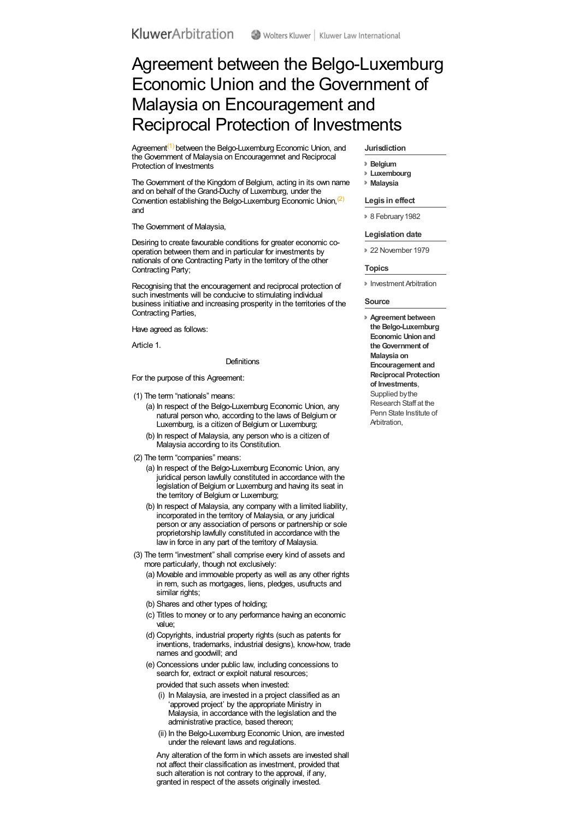# Agreement between the Belgo-Luxemburg Economic Union and the Government of Malaysia on Encouragement and Reciprocal Protection of Investments

Agreement<sup>[\(1\)](#a0002)</sup> between the Belgo-Luxemburg Economic Union, and the Government of Malaysia on Encouragemnet and Reciprocal Protection of Investments

The Government of the Kingdom of Belgium, acting in its own name and on behalf of the Grand-Duchy of Luxemburg, under the Convention establishing the Belgo-Luxemburg Economic Union,<sup>[\(2\)](#a0003)</sup> and

The Government of Malaysia,

Desiring to create favourable conditions for greater economic cooperation between them and in particular for investments by nationals of one Contracting Party in the territory of the other Contracting Party;

Recognising that the encouragement and reciprocal protection of such investments will be conducive to stimulating individual business initiative and increasing prosperity in the territories of the Contracting Parties,

Have agreed as follows:

Article 1.

#### **Definitions**

For the purpose of this Agreement:

- (1) The term "nationals" means:
	- (a) In respect of the Belgo-Luxemburg Economic Union, any natural person who, according to the laws of Belgium or Luxemburg, is a citizen of Belgium or Luxemburg;
	- (b) In respect of Malaysia, any person who is a citizen of Malaysia according to its Constitution.
- (2) The term "companies" means:
	- (a) In respect of the Belgo-Luxemburg Economic Union, any juridical person lawfully constituted in accordance with the legislation of Belgium or Luxemburg and having its seat in the territory of Belgium or Luxemburg;
	- (b) In respect of Malaysia, any company with a limited liability, incorporated in the territory of Malaysia, or any juridical person or any association of persons or partnership or sole proprietorship lawfully constituted in accordance with the law in force in any part of the territory of Malaysia.
- (3) The term "investment" shall comprise every kind of assets and more particularly, though not exclusively:
	- (a) Movable and immovable property as well as any other rights in rem, such as mortgages, liens, pledges, usufructs and similar rights;
	- (b) Shares and other types of holding;
	- (c) Titles to money or to any performance having an economic value;
	- (d) Copyrights, industrial property rights (such as patents for inventions, trademarks, industrial designs), know-how, trade names and goodwill; and
	- (e) Concessions under public law, including concessions to search for, extract or exploit natural resources;
		- provided that such assets when invested:
		- (i) In Malaysia, are invested in a project classified as an 'approved project' by the appropriate Ministry in Malaysia, in accordance with the legislation and the administrative practice, based thereon;
		- (ii) In the Belgo-Luxemburg Economic Union, are invested under the relevant laws and regulations.

Any alteration of the form in which assets are invested shall not affect their classification as investment, provided that such alteration is not contrary to the approval, if any, granted in respect of the assets originally invested.

#### **Jurisdiction**

- **[Belgium](organizations.aspx?jurisdiction=Belgium)**
- **[Luxembourg](organizations.aspx?jurisdiction=Luxembourg)**
- **[Malaysia](organizations.aspx?jurisdiction=Malaysia)**

## **Legis in effect**

<sup>8</sup> 8 February 1982

#### **Legislation date**

22 November 1979

#### **Topics**

**Investment Arbitration** 

# **Source**

**Agreement between the Belgo-Luxemburg Economic Unionand theGovernment of Malaysia on Encouragement and Reciprocal Protection of Investments**, Supplied by the Research Staff at the Penn State Institute of Arbitration,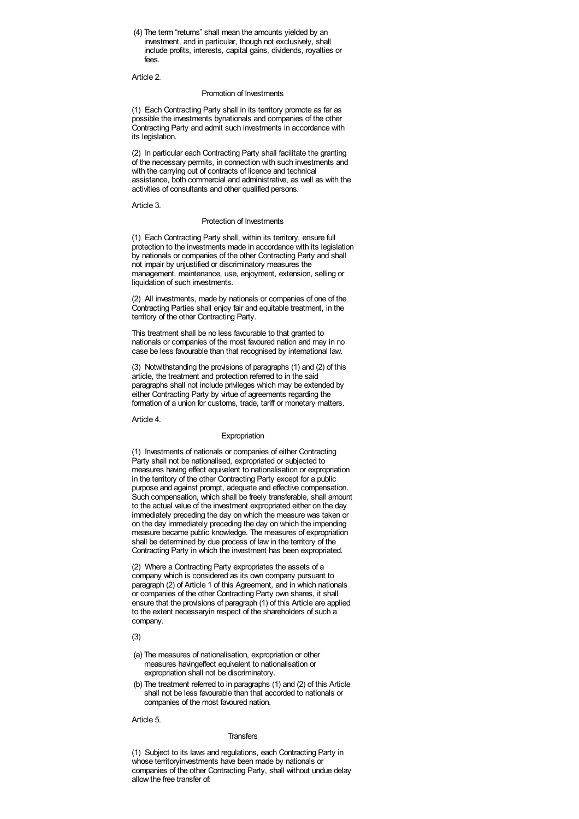(4) The term "returns" shall mean the amounts yielded by an investment, and in particular, though not exclusively, shall include profits, interests, capital gains, dividends, royalties or fees.

Article 2.

# Promotion of Investments

(1) Each Contracting Party shall in its territory promote as far as possible the investments bynationals and companies of the other Contracting Party and admit such investments in accordance with its legislation.

(2) In particular each Contracting Party shall facilitate the granting of the necessary permits, in connection with such investments and with the carrying out of contracts of licence and technical assistance, both commercial and administrative, as well as with the activities of consultants and other qualified persons.

Article 3.

## Protection of Investments

(1) Each Contracting Party shall, within its territory, ensure full protection to the investments made in accordance with its legislation by nationals or companies of the other Contracting Party and shall not impair by unjustified or discriminatory measures the management, maintenance, use, enjoyment, extension, selling or liquidation of such investments.

(2) All investments, made by nationals or companies of one of the Contracting Parties shall enjoy fair and equitable treatment, in the territory of the other Contracting Party.

This treatment shall be no less favourable to that granted to nationals or companies of the most favoured nation and may in no case be less favourable than that recognised by international law.

(3) Notwithstanding the provisions of paragraphs (1) and (2) of this article, the treatment and protection referred to in the said paragraphs shall not include privileges which may be extended by either Contracting Party by virtue of agreements regarding the formation of a union for customs, trade, tariff or monetary matters.

Article 4.

# Expropriation

(1) Investments of nationals or companies of either Contracting Party shall not be nationalised, expropriated or subjected to measures having effect equivalent to nationalisation or expropriation in the territory of the other Contracting Party except for a public purpose and against prompt, adequate and effective compensation. Such compensation, which shall be freely transferable, shall amount to the actual value of the investment expropriated either on the day immediately preceding the day on which the measure was taken or on the day immediately preceding the day on which the impending measure became public knowledge. The measures of expropriation shall be determined by due process of law in the territory of the Contracting Party in which the investment has been expropriated.

(2) Where a Contracting Party expropriates the assets of a company which is considered as its own company pursuant to paragraph (2) of Article 1 of this Agreement, and in which nationals or companies of the other Contracting Party own shares, it shall ensure that the provisions of paragraph (1) of this Article are applied to the extent necessaryin respect of the shareholders of such a company.

(3)

- (a) The measures of nationalisation, expropriation or other measures havingeffect equivalent to nationalisation or expropriation shall not be discriminatory.
- (b) The treatment referred to in paragraphs (1) and (2) of this Article shall not be less favourable than that accorded to nationals or companies of the most favoured nation.

Article 5.

#### **Transfers**

(1) Subject to its laws and regulations, each Contracting Party in whose territoryinvestments have been made by nationals or companies of the other Contracting Party, shall without undue delay allow the free transfer of: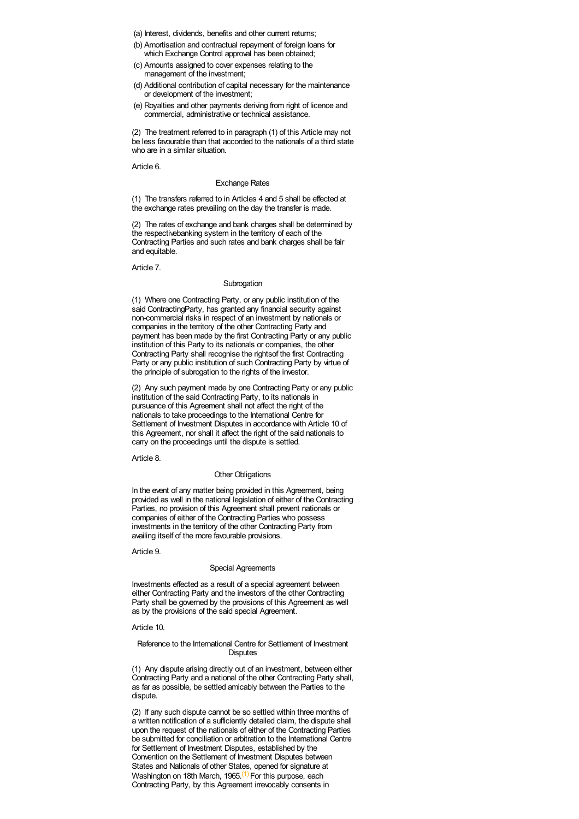- (a) Interest, dividends, benefits and other current returns;
- (b) Amortisation and contractual repayment of foreign loans for which Exchange Control approval has been obtained;
- (c) Amounts assigned to cover expenses relating to the management of the investment;
- (d) Additional contribution of capital necessary for the maintenance or development of the investment;
- (e) Royalties and other payments deriving from right of licence and commercial, administrative or technical assistance.

(2) The treatment referred to in paragraph (1) of this Article may not be less favourable than that accorded to the nationals of a third state who are in a similar situation.

Article 6.

#### Exchange Rates

(1) The transfers referred to in Articles 4 and 5 shall be effected at the exchange rates prevailing on the day the transfer is made.

(2) The rates of exchange and bank charges shall be determined by the respectivebanking system in the territory of each of the Contracting Parties and such rates and bank charges shall be fair and equitable.

Article 7.

## Subrogation

(1) Where one Contracting Party, or any public institution of the said ContractingParty, has granted any financial security against non-commercial risks in respect of an investment by nationals or companies in the territory of the other Contracting Party and payment has been made by the first Contracting Party or any public institution of this Party to its nationals or companies, the other Contracting Party shall recognise the rightsof the first Contracting Party or any public institution of such Contracting Party by virtue of the principle of subrogation to the rights of the investor.

(2) Any such payment made by one Contracting Party or any public institution of the said Contracting Party, to its nationals in pursuance of this Agreement shall not affect the right of the nationals to take proceedings to the International Centre for Settlement of Investment Disputes in accordance with Article 10 of this Agreement, nor shall it affect the right of the said nationals to carry on the proceedings until the dispute is settled.

Article 8.

# Other Obligations

In the event of any matter being provided in this Agreement, being provided as well in the national legislation of either of the Contracting Parties, no provision of this Agreement shall prevent nationals or companies of either of the Contracting Parties who possess investments in the territory of the other Contracting Party from availing itself of the more favourable provisions.

Article 9.

## Special Agreements

Investments effected as a result of a special agreement between either Contracting Party and the investors of the other Contracting Party shall be governed by the provisions of this Agreement as well as by the provisions of the said special Agreement.

Article 10.

## Reference to the International Centre for Settlement of Investment **Disputes**

(1) Any dispute arising directly out of an investment, between either Contracting Party and a national of the other Contracting Party shall, as far as possible, be settled amicably between the Parties to the dispute.

(2) If any such dispute cannot be so settled within three months of a written notification of a sufficiently detailed claim, the dispute shall upon the request of the nationals of either of the Contracting Parties be submitted for conciliation or arbitration to the International Centre for Settlement of Investment Disputes, established by the Convention on the Settlement of Investment Disputes between States and Nationals of other States, opened for signature at Washington on 18th March, 1965.<sup>[\(1\)](#a0033)</sup> For this purpose, each Contracting Party, by this Agreement irrevocably consents in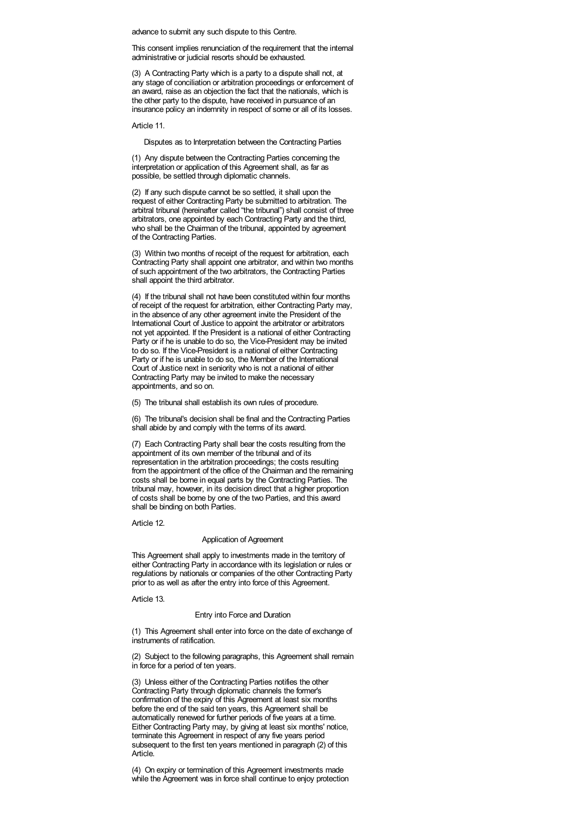advance to submit any such dispute to this Centre.

This consent implies renunciation of the requirement that the internal administrative or judicial resorts should be exhausted.

(3) A Contracting Party which is a party to a dispute shall not, at any stage of conciliation or arbitration proceedings or enforcement of an award, raise as an objection the fact that the nationals, which is the other party to the dispute, have received in pursuance of an insurance policy an indemnity in respect of some or all of its losses.

Article 11.

Disputes as to Interpretation between the Contracting Parties

(1) Any dispute between the Contracting Parties concerning the interpretation or application of this Agreement shall, as far as possible, be settled through diplomatic channels.

(2) If any such dispute cannot be so settled, it shall upon the request of either Contracting Party be submitted to arbitration. The arbitral tribunal (hereinafter called "the tribunal") shall consist of three arbitrators, one appointed by each Contracting Party and the third, who shall be the Chairman of the tribunal, appointed by agreement of the Contracting Parties.

(3) Within two months of receipt of the request for arbitration, each Contracting Party shall appoint one arbitrator, and within two months of such appointment of the two arbitrators, the Contracting Parties shall appoint the third arbitrator.

(4) If the tribunal shall not have been constituted within four months of receipt of the request for arbitration, either Contracting Party may, in the absence of any other agreement invite the President of the International Court of Justice to appoint the arbitrator or arbitrators not yet appointed. If the President is a national of either Contracting Party or if he is unable to do so, the Vice-President may be invited to do so. If the Vice-President is a national of either Contracting Party or if he is unable to do so, the Member of the International Court of Justice next in seniority who is not a national of either Contracting Party may be invited to make the necessary appointments, and so on.

(5) The tribunal shall establish its own rules of procedure.

(6) The tribunal's decision shall be final and the Contracting Parties shall abide by and comply with the terms of its award.

(7) Each Contracting Party shall bear the costs resulting from the appointment of its own member of the tribunal and of its representation in the arbitration proceedings; the costs resulting from the appointment of the office of the Chairman and the remaining costs shall be borne in equal parts by the Contracting Parties. The tribunal may, however, in its decision direct that a higher proportion of costs shall be borne by one of the two Parties, and this award shall be binding on both Parties.

Article 12.

#### Application of Agreement

This Agreement shall apply to investments made in the territory of either Contracting Party in accordance with its legislation or rules or regulations by nationals or companies of the other Contracting Party prior to as well as after the entry into force of this Agreement.

Article 13.

## Entry into Force and Duration

(1) This Agreement shall enter into force on the date of exchange of instruments of ratification.

(2) Subject to the following paragraphs, this Agreement shall remain in force for a period of ten years.

(3) Unless either of the Contracting Parties notifies the other Contracting Party through diplomatic channels the former's confirmation of the expiry of this Agreement at least six months before the end of the said ten years, this Agreement shall be automatically renewed for further periods of five years at a time. Either Contracting Party may, by giving at least six months' notice, terminate this Agreement in respect of any five years period subsequent to the first ten years mentioned in paragraph (2) of this Article.

(4) On expiry or termination of this Agreement investments made while the Agreement was in force shall continue to enjoy protection